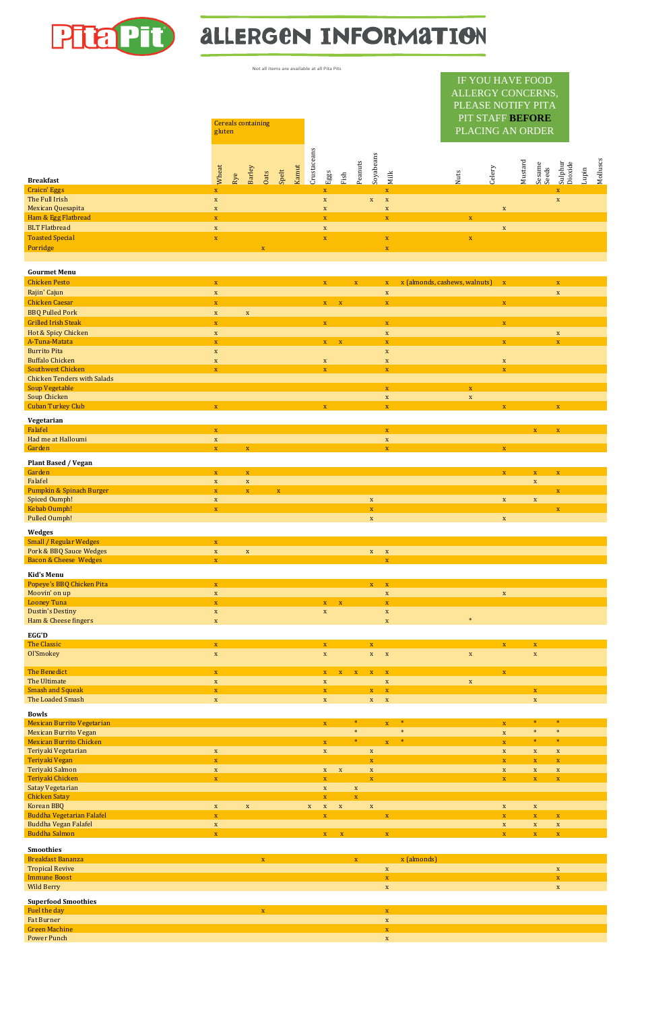

# **ALLERGEN INFORMATION**

| Not all items are available at all Pita Pits |                            |                           |                |             |             |       |             |              |      |              |                          |                            |                                                                                                     |                     |                     |                            |       |          |
|----------------------------------------------|----------------------------|---------------------------|----------------|-------------|-------------|-------|-------------|--------------|------|--------------|--------------------------|----------------------------|-----------------------------------------------------------------------------------------------------|---------------------|---------------------|----------------------------|-------|----------|
|                                              | gluten                     | <b>Cereals containing</b> |                |             |             |       |             |              |      |              |                          |                            | IF YOU HAVE FOOD<br>ALLERGY CONCERNS,<br>PLEASE NOTIFY PITA<br>PIT STAFF BEFORE<br>PLACING AN ORDER |                     |                     |                            |       |          |
| <b>Breakfast</b>                             | Wheat                      | Rye                       | Barley         | Oats        | Spelt       | Kamut | Crustaceans | Eggs         | Fish | Peanuts      | Soyabeans                | Milk                       | Celery<br>Nuts                                                                                      | Mustard             | Sesame<br>Seeds     | Sulphur<br>Dioxide         | Lupin | Molluscs |
| <b>Craicn' Eggs</b>                          | $\mathbf X$                |                           |                |             |             |       |             | $\mathbf X$  |      |              |                          | $\mathbf X$                |                                                                                                     |                     |                     | $\mathbf{X}$               |       |          |
| The Full Irish                               | $\mathbf X$                |                           |                |             |             |       |             | $\mathbf X$  |      |              | $\mathbf X$              | $\mathbf X$                |                                                                                                     |                     |                     | $\mathbf X$                |       |          |
| Mexican Quesapita                            | $\mathbf X$                |                           |                |             |             |       |             | $\mathbf X$  |      |              |                          | $\mathbf X$                |                                                                                                     | $\mathbf X$         |                     |                            |       |          |
| Ham & Egg Flatbread                          | $\mathbf X$                |                           |                |             |             |       |             | $\mathbf X$  |      |              |                          | $\mathbf X$                | $\mathbf X$                                                                                         |                     |                     |                            |       |          |
| <b>BLT</b> Flatbread                         | $\mathbf X$                |                           |                |             |             |       |             | $\mathbf X$  |      |              |                          |                            |                                                                                                     | $\mathbf X$         |                     |                            |       |          |
| <b>Toasted Special</b>                       | $\mathbf X$                |                           |                |             |             |       |             | $\mathbf X$  |      |              |                          | $\mathbf X$                | $\mathbf X$                                                                                         |                     |                     |                            |       |          |
| Porridge                                     |                            |                           |                | $\mathbf X$ |             |       |             |              |      |              |                          | $\mathbf X$                |                                                                                                     |                     |                     |                            |       |          |
|                                              |                            |                           |                |             |             |       |             |              |      |              |                          |                            |                                                                                                     |                     |                     |                            |       |          |
|                                              |                            |                           |                |             |             |       |             |              |      |              |                          |                            |                                                                                                     |                     |                     |                            |       |          |
| <b>Gourmet Menu</b>                          |                            |                           |                |             |             |       |             |              |      |              |                          |                            |                                                                                                     |                     |                     |                            |       |          |
| <b>Chicken Pesto</b>                         | $\mathbf{X}$               |                           |                |             |             |       |             | $\mathbf{X}$ |      | $\mathbf{X}$ |                          | $\mathbf X$                | x (almonds, cashews, walnuts)                                                                       | $\mathbf{X}$        |                     | $\mathbf{X}$               |       |          |
| Rajin' Cajun                                 | $\mathbf{X}$               |                           |                |             |             |       |             |              |      |              |                          | $\mathbf X$                |                                                                                                     |                     |                     | $\mathbf X$                |       |          |
| <b>Chicken Caesar</b>                        | $\mathbf X$                |                           |                |             |             |       |             | $X$ X        |      |              |                          | $\mathbf X$                |                                                                                                     | $\mathbf X$         |                     |                            |       |          |
| <b>BBQ Pulled Pork</b>                       | $\mathbf X$                |                           | $\mathbf X$    |             |             |       |             |              |      |              |                          |                            |                                                                                                     |                     |                     |                            |       |          |
| <b>Grilled Irish Steak</b>                   | $\mathbf X$                |                           |                |             |             |       |             | $\mathbf X$  |      |              |                          | $\mathbf X$                |                                                                                                     | $\mathbf{X}$        |                     |                            |       |          |
| Hot & Spicy Chicken                          |                            |                           |                |             |             |       |             |              |      |              |                          |                            |                                                                                                     |                     |                     |                            |       |          |
| A-Tuna-Matata                                | $\mathbf X$<br>$\mathbf X$ |                           |                |             |             |       |             | $X = X$      |      |              |                          | $\mathbf X$<br>$\mathbf X$ |                                                                                                     | $\mathbf X$         |                     | $\mathbf X$<br>$\mathbf X$ |       |          |
| <b>Burrito Pita</b>                          | $\mathbf{X}$               |                           |                |             |             |       |             |              |      |              |                          | $\mathbf{X}$               |                                                                                                     |                     |                     |                            |       |          |
| <b>Buffalo Chicken</b>                       | $\mathbf X$                |                           |                |             |             |       |             | $\mathbf X$  |      |              |                          | $\mathbf X$                |                                                                                                     | $\mathbf X$         |                     |                            |       |          |
| <b>Southwest Chicken</b>                     | $\mathbf{X}$               |                           |                |             |             |       |             | $\mathbf X$  |      |              |                          | $\mathbf X$                |                                                                                                     | $\mathbf{X}$        |                     |                            |       |          |
| <b>Chicken Tenders with Salads</b>           |                            |                           |                |             |             |       |             |              |      |              |                          |                            |                                                                                                     |                     |                     |                            |       |          |
| <b>Soup Vegetable</b>                        |                            |                           |                |             |             |       |             |              |      |              |                          | $\mathbf X$                | $\mathbf{X}^-$                                                                                      |                     |                     |                            |       |          |
| Soup Chicken                                 |                            |                           |                |             |             |       |             |              |      |              |                          | $\mathbf X$                | $\mathbf X$                                                                                         |                     |                     |                            |       |          |
| <b>Cuban Turkey Club</b>                     | $\mathbf X$                |                           |                |             |             |       |             | $\mathbf X$  |      |              |                          | $\mathbf X$                |                                                                                                     | $\mathbf{X}$        |                     | $\mathbf X$                |       |          |
|                                              |                            |                           |                |             |             |       |             |              |      |              |                          |                            |                                                                                                     |                     |                     |                            |       |          |
| Vegetarian                                   |                            |                           |                |             |             |       |             |              |      |              |                          |                            |                                                                                                     |                     |                     |                            |       |          |
| Falafel                                      | $\mathbf X$                |                           |                |             |             |       |             |              |      |              |                          | $\mathbf X$                |                                                                                                     |                     | $\mathbf{X}^-$      | $\mathbf X$                |       |          |
| Had me at Halloumi                           | $\mathbf X$                |                           |                |             |             |       |             |              |      |              |                          | $\mathbf X$                |                                                                                                     |                     |                     |                            |       |          |
| Garden                                       | $\mathbf X$                |                           | $\mathbf X$    |             |             |       |             |              |      |              |                          | $\mathbf X$                |                                                                                                     | $\mathbf{X}$        |                     |                            |       |          |
| <b>Plant Based / Vegan</b>                   |                            |                           |                |             |             |       |             |              |      |              |                          |                            |                                                                                                     |                     |                     |                            |       |          |
| Garden                                       | $\mathbf{X}$               |                           | $\mathbf X$    |             |             |       |             |              |      |              |                          |                            |                                                                                                     | $\mathbf{X}^{\top}$ | $\mathbf{X}^{\top}$ | $\mathbf X$                |       |          |
| Falafel                                      | $\mathbf{X}$               |                           | $\mathbf X$    |             |             |       |             |              |      |              |                          |                            |                                                                                                     |                     | $\mathbf X$         |                            |       |          |
| <b>Pumpkin &amp; Spinach Burger</b>          | $\mathbf X$                |                           | $\mathbf X$    |             | $\mathbf X$ |       |             |              |      |              |                          |                            |                                                                                                     |                     |                     | $\mathbf X$                |       |          |
| <b>Spiced Oumph!</b>                         | $\mathbf X$                |                           |                |             |             |       |             |              |      |              | $\mathbf X$              |                            |                                                                                                     | $\mathbf{X}$        | $\mathbf X$         |                            |       |          |
| Kebab Oumph!                                 | $\mathbf X$                |                           |                |             |             |       |             |              |      |              | $\mathbf X$              |                            |                                                                                                     |                     |                     | $\mathbf X$                |       |          |
| Pulled Oumph!                                |                            |                           |                |             |             |       |             |              |      |              | $\mathbf X$              |                            |                                                                                                     | $\mathbf{X}$        |                     |                            |       |          |
| <b>Wedges</b>                                |                            |                           |                |             |             |       |             |              |      |              |                          |                            |                                                                                                     |                     |                     |                            |       |          |
| <b>Small / Regular Wedges</b>                | $\mathbf{X}$               |                           |                |             |             |       |             |              |      |              |                          |                            |                                                                                                     |                     |                     |                            |       |          |
| Pork & BBQ Sauce Wedges                      | $\mathbf{X}$               |                           | $\mathbf{X}^-$ |             |             |       |             |              |      |              | $\mathbf{X}=-\mathbf{X}$ |                            |                                                                                                     |                     |                     |                            |       |          |
|                                              |                            |                           |                |             |             |       |             |              |      |              |                          |                            |                                                                                                     |                     |                     |                            |       |          |

Bacon & Cheese Wedges x x

| Kid's Menu                        |              |              |                              |              |              |                     |                     |             |             |                     |                     |                |
|-----------------------------------|--------------|--------------|------------------------------|--------------|--------------|---------------------|---------------------|-------------|-------------|---------------------|---------------------|----------------|
| Popeye's BBQ Chicken Pita         | $\mathbf{X}$ |              |                              |              |              | $\mathbf{X}^{\top}$ | $\mathbf{X}$        |             |             |                     |                     |                |
| Moovin' on up                     | $\mathbf X$  |              |                              |              |              |                     | $\mathbf X$         |             |             | $\mathbf X$         |                     |                |
| <b>Looney Tuna</b>                | $\mathbf X$  |              |                              | $X = X$      |              |                     | $\mathbf{X}$        |             |             |                     |                     |                |
| <b>Dustin's Destiny</b>           | $\mathbf X$  |              | $\mathbf X$                  |              |              |                     | $\mathbf X$         |             |             |                     |                     |                |
| Ham & Cheese fingers              | $\mathbf X$  |              |                              |              |              |                     | $\mathbf{X}$        |             | $\ast$      |                     |                     |                |
| <b>EGG'D</b>                      |              |              |                              |              |              |                     |                     |             |             |                     |                     |                |
| The Classic                       | $\mathbf X$  |              | $\mathbf{X}$                 |              |              | $\mathbf{X}^-$      |                     |             |             | $\mathbf{X}$        | $\mathbf{X}^{\top}$ |                |
| Ol'Smokey                         | $\mathbf X$  |              | $\mathbf X$                  |              |              | $X$ $X$             |                     |             | $\mathbf X$ |                     | $\mathbf{X}$        |                |
|                                   |              |              |                              |              |              |                     |                     |             |             |                     |                     |                |
| <b>The Benedict</b>               | $\mathbf{X}$ |              | $\mathbf{X}$                 | $\mathbf{X}$ | $\mathbf X$  | $\mathbf X$         | $\mathbf{X}$        |             |             | $\mathbf{X}$        |                     |                |
| The Ultimate                      | $\mathbf X$  |              | $\mathbf X$                  |              |              |                     | $\mathbf X$         |             | $\mathbf X$ |                     |                     |                |
| <b>Smash and Squeak</b>           | $\mathbf{X}$ |              | $\mathbf{X}$                 |              |              | $\mathbf{X}^{\top}$ | $\mathbf{X}$        |             |             |                     | $\mathbf{X}^{\top}$ |                |
| The Loaded Smash                  | $\mathbf X$  |              | $\mathbf{X}$                 |              |              | $X$ $X$             |                     |             |             |                     | $\mathbf{X}$        |                |
| <b>Bowls</b>                      |              |              |                              |              |              |                     |                     |             |             |                     |                     |                |
| <b>Mexican Burrito Vegetarian</b> |              |              | $\mathbf{X}$                 |              | $\ast$       |                     | $\mathbf{X}$        | $\ast$      |             | $\mathbf{X}$        | $\ast$              | $\ast$         |
| <b>Mexican Burrito Vegan</b>      |              |              |                              |              | $\ast$       |                     |                     | $\ast$      |             | $\mathbf X$         | $\ast$              | $\ast$         |
| <b>Mexican Burrito Chicken</b>    |              |              | $\mathbf X$                  |              | $\ast$       |                     | $\mathbf{X}^{\top}$ | $\ast$      |             | $\mathbf{X}$        | $\ast$              | $\ast$         |
| Teriyaki Vegetarian               | $\mathbf X$  |              | $\mathbf{X}$                 |              |              | $\mathbf X$         |                     |             |             | $\mathbf{X}$        | $\mathbf{X}^-$      | $\mathbf{X}$   |
| Teriyaki Vegan                    | $\mathbf X$  |              |                              |              |              | $\mathbf{X}$        |                     |             |             | $\mathbf{X}$        | $\mathbf{X}$        | $\mathbf X$    |
| Teriyaki Salmon                   | $\mathbf X$  |              |                              | $X$ $X$      |              | $\mathbf X$         |                     |             |             | $\mathbf X$         | $\mathbf{X}$        | $\mathbf X$    |
| Teriyaki Chicken                  | $\mathbf{X}$ |              | $\mathbf{X}$                 |              |              | $\mathbf{X}$        |                     |             |             | $\mathbf{X}^{\top}$ | $\mathbf{X}^-$      | $\mathbf X$    |
| <b>Satay Vegetarian</b>           |              |              | $\mathbf X$                  |              | $\mathbf X$  |                     |                     |             |             |                     |                     |                |
| <b>Chicken Satay</b>              |              |              | $\mathbf{X}$                 |              | $\mathbf X$  |                     |                     |             |             |                     |                     |                |
| Korean BBQ                        | $\mathbf{X}$ | $\mathbf X$  | $\mathbf{X}$<br>$\mathbf{X}$ | $\mathbf{X}$ |              | $\mathbf{X}$        |                     |             |             | $\mathbf{X}$        | $\mathbf{X}$        |                |
| <b>Buddha Vegetarian Falafel</b>  | $\mathbf X$  |              | $\mathbf X$                  |              |              |                     | $\mathbf{X}$        |             |             | $\mathbf{X}$        | $\mathbf{X}$        | $\mathbf X$    |
| <b>Buddha Vegan Falafel</b>       | $\mathbf X$  |              |                              |              |              |                     |                     |             |             | $\mathbf{X}$        | $\mathbf X$         | $\mathbf{X}$   |
| <b>Buddha Salmon</b>              | $\mathbf X$  |              | $\mathbf{X}^{\top}$          | $\mathbf X$  |              |                     | $\mathbf{X}$        |             |             | $\mathbf{X}$        | $\mathbf{X}$        | $\mathbf X$    |
|                                   |              |              |                              |              |              |                     |                     |             |             |                     |                     |                |
| <b>Smoothies</b>                  |              |              |                              |              |              |                     |                     |             |             |                     |                     |                |
| Breakfast Bananza                 |              | $\mathbf{X}$ |                              |              | $\mathbf{X}$ |                     |                     | x (almonds) |             |                     |                     |                |
| <b>Tropical Revive</b>            |              |              |                              |              |              |                     | $\mathbf X$         |             |             |                     |                     | $\mathbf X$    |
| <b>Immune Boost</b>               |              |              |                              |              |              |                     | $\mathbf{X}$        |             |             |                     |                     | $\mathbf{X}^-$ |
| <b>Wild Berry</b>                 |              |              |                              |              |              |                     | $\mathbf{X}$        |             |             |                     |                     | $\mathbf{X}$   |
| <b>Superfood Smoothies</b>        |              |              |                              |              |              |                     |                     |             |             |                     |                     |                |
| Fuel the day                      |              | $\mathbf X$  |                              |              |              |                     | $\mathbf{X}$        |             |             |                     |                     |                |
| <b>Fat Burner</b>                 |              |              |                              |              |              |                     | $\mathbf{X}$        |             |             |                     |                     |                |
| <b>Green Machine</b>              |              |              |                              |              |              |                     | $\mathbf{X}$        |             |             |                     |                     |                |
| <b>Power Punch</b>                |              |              |                              |              |              |                     | $\mathbf{X}$        |             |             |                     |                     |                |